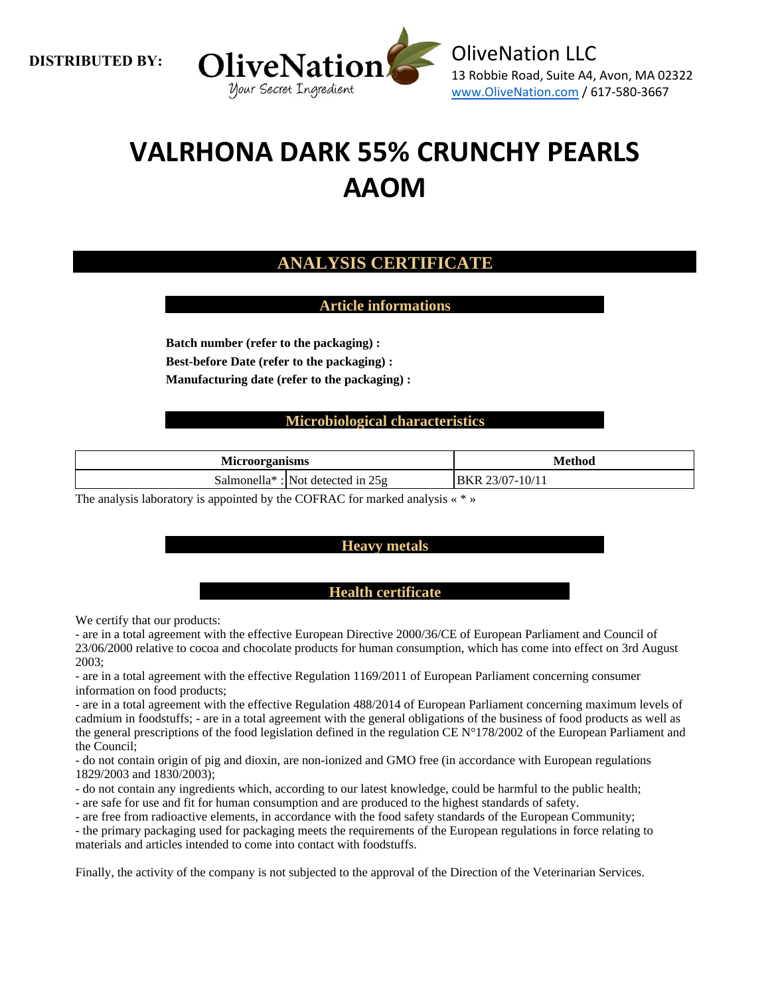**DISTRIBUTED BY:**



# **VALRHONA DARK 55% CRUNCHY PEARLS AAOM**

## **ANALYSIS CERTIFICATE**

**Article informations**

**Batch number (refer to the packaging) : Best-before Date (refer to the packaging) : Manufacturing date (refer to the packaging) :**

### **Microbiological characteristics**

| <b>Microorganisms</b> |                                                 | <b>Method</b>               |  |
|-----------------------|-------------------------------------------------|-----------------------------|--|
|                       | Salmonella <sup>*</sup> : Not detected in $25g$ | 7-10/11<br>3/O<br>∵ k<br>RК |  |

The analysis laboratory is appointed by the COFRAC for marked analysis « \* »

### **Heavy metals**

### **Health certificate**

We certify that our products:

- are in a total agreement with the effective European Directive 2000/36/CE of European Parliament and Council of 23/06/2000 relative to cocoa and chocolate products for human consumption, which has come into effect on 3rd August 2003;

- are in a total agreement with the effective Regulation 1169/2011 of European Parliament concerning consumer information on food products;

- are in a total agreement with the effective Regulation 488/2014 of European Parliament concerning maximum levels of cadmium in foodstuffs; - are in a total agreement with the general obligations of the business of food products as well as the general prescriptions of the food legislation defined in the regulation CE N°178/2002 of the European Parliament and the Council;

- do not contain origin of pig and dioxin, are non-ionized and GMO free (in accordance with European regulations 1829/2003 and 1830/2003);

- do not contain any ingredients which, according to our latest knowledge, could be harmful to the public health;

- are safe for use and fit for human consumption and are produced to the highest standards of safety.

- are free from radioactive elements, in accordance with the food safety standards of the European Community;

- the primary packaging used for packaging meets the requirements of the European regulations in force relating to materials and articles intended to come into contact with foodstuffs.

Finally, the activity of the company is not subjected to the approval of the Direction of the Veterinarian Services.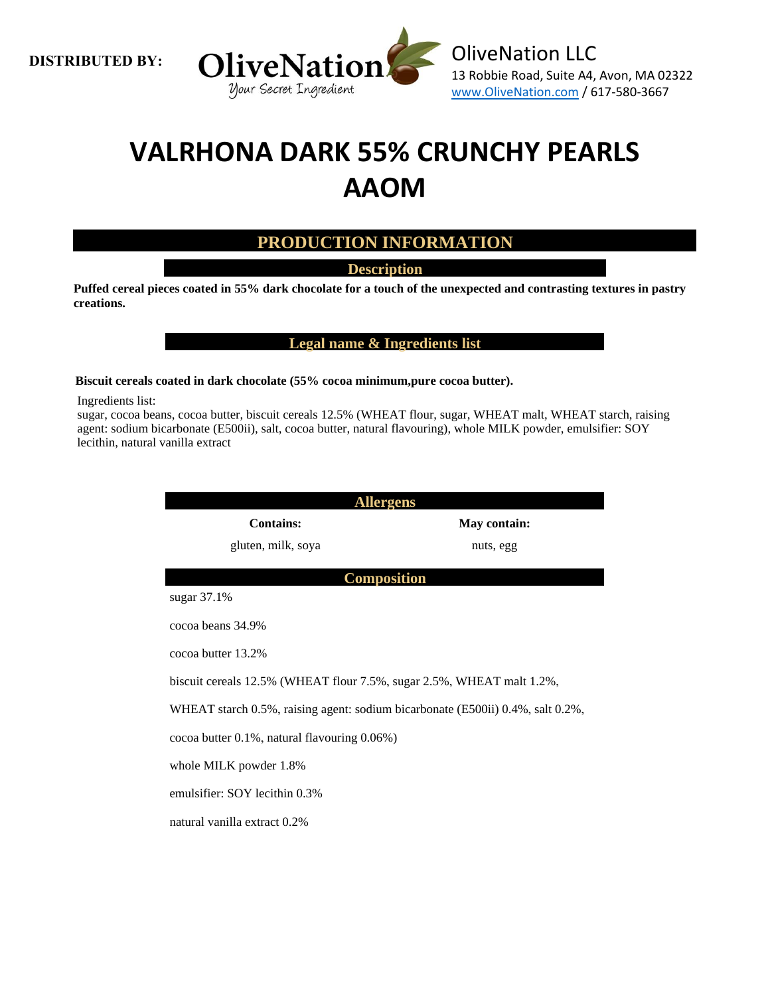**DISTRIBUTED BY:**



# **VALRHONA DARK 55% CRUNCHY PEARLS AAOM**

### **PRODUCTION INFORMATION**

**Description**

**Puffed cereal pieces coated in 55% dark chocolate for a touch of the unexpected and contrasting textures in pastry creations.**

**Legal name & Ingredients list**

#### **Biscuit cereals coated in dark chocolate (55% cocoa minimum,pure cocoa butter).**

Ingredients list:

sugar, cocoa beans, cocoa butter, biscuit cereals 12.5% (WHEAT flour, sugar, WHEAT malt, WHEAT starch, raising agent: sodium bicarbonate (E500ii), salt, cocoa butter, natural flavouring), whole MILK powder, emulsifier: SOY lecithin, natural vanilla extract

| <b>Allergens</b>                                                               |              |  |  |  |  |
|--------------------------------------------------------------------------------|--------------|--|--|--|--|
| <b>Contains:</b>                                                               | May contain: |  |  |  |  |
| gluten, milk, soya                                                             | nuts, egg    |  |  |  |  |
| <b>Composition</b>                                                             |              |  |  |  |  |
| sugar 37.1%                                                                    |              |  |  |  |  |
| cocoa beans 34.9%                                                              |              |  |  |  |  |
| cocoa butter 13.2%                                                             |              |  |  |  |  |
| biscuit cereals 12.5% (WHEAT flour 7.5%, sugar 2.5%, WHEAT malt 1.2%,          |              |  |  |  |  |
| WHEAT starch 0.5%, raising agent: sodium bicarbonate (E500ii) 0.4%, salt 0.2%, |              |  |  |  |  |
| cocoa butter 0.1%, natural flavouring 0.06%)                                   |              |  |  |  |  |
| whole MILK powder 1.8%                                                         |              |  |  |  |  |
| emulsifier: SOY lecithin 0.3%                                                  |              |  |  |  |  |
| natural vanilla extract 0.2%                                                   |              |  |  |  |  |
|                                                                                |              |  |  |  |  |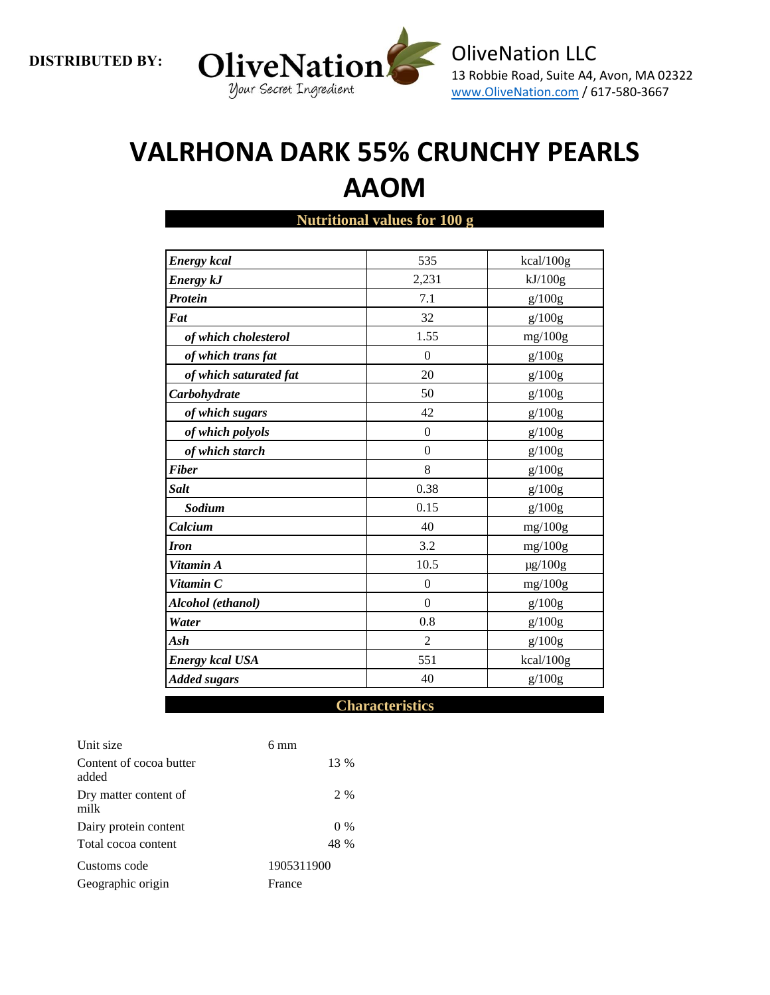

# **VALRHONA DARK 55% CRUNCHY PEARLS AAOM**

| <b>Energy</b> kcal     | 535            | kcal/100g    |
|------------------------|----------------|--------------|
| <b>Energy kJ</b>       | 2,231          | kJ/100g      |
| <b>Protein</b>         | 7.1            | g/100g       |
| Fat                    | 32             | g/100g       |
| of which cholesterol   | 1.55           | mg/100g      |
| of which trans fat     | $\Omega$       | g/100g       |
| of which saturated fat | 20             | g/100g       |
| Carbohydrate           | 50             | g/100g       |
| of which sugars        | 42             | g/100g       |
| of which polyols       | $\mathbf{0}$   | g/100g       |
| of which starch        | $\Omega$       | g/100g       |
| <b>Fiber</b>           | 8              | g/100g       |
| <b>Salt</b>            | 0.38           | g/100g       |
| Sodium                 | 0.15           | g/100g       |
| Calcium                | 40             | mg/100g      |
| <b>Iron</b>            | 3.2            | mg/100g      |
| Vitamin A              | 10.5           | $\mu$ g/100g |
| Vitamin C              | $\theta$       | mg/100g      |
| Alcohol (ethanol)      | $\Omega$       | g/100g       |
| Water                  | 0.8            | g/100g       |
| Ash                    | $\overline{2}$ | g/100g       |
| <b>Energy kcal USA</b> | 551            | kcal/100g    |
| <b>Added sugars</b>    | 40             | g/100g       |

### **Nutritional values for 100 g**

#### **Characteristics**

| Unit size                        | $6 \text{ mm}$ |
|----------------------------------|----------------|
| Content of cocoa butter<br>added | 13 %           |
| Dry matter content of<br>milk    | 2 %            |
| Dairy protein content            | $0\%$          |
| Total cocoa content              | 48 %           |
| Customs code                     | 1905311900     |
| Geographic origin                | France         |